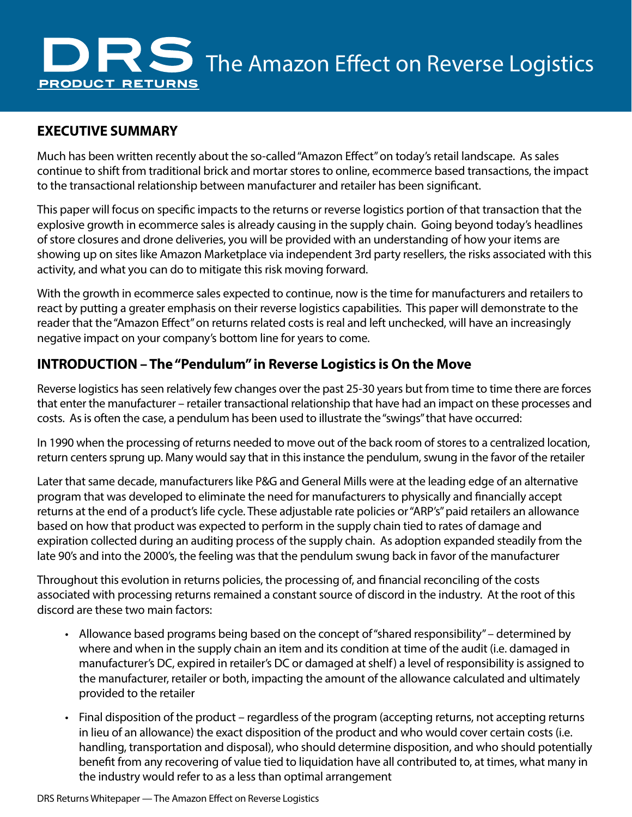

### **EXECUTIVE SUMMARY**

Much has been written recently about the so-called "Amazon Effect" on today's retail landscape. As sales continue to shift from traditional brick and mortar stores to online, ecommerce based transactions, the impact to the transactional relationship between manufacturer and retailer has been significant.

This paper will focus on specific impacts to the returns or reverse logistics portion of that transaction that the explosive growth in ecommerce sales is already causing in the supply chain. Going beyond today's headlines of store closures and drone deliveries, you will be provided with an understanding of how your items are showing up on sites like Amazon Marketplace via independent 3rd party resellers, the risks associated with this activity, and what you can do to mitigate this risk moving forward.

With the growth in ecommerce sales expected to continue, now is the time for manufacturers and retailers to react by putting a greater emphasis on their reverse logistics capabilities. This paper will demonstrate to the reader that the "Amazon Effect" on returns related costs is real and left unchecked, will have an increasingly negative impact on your company's bottom line for years to come.

## **INTRODUCTION – The "Pendulum" in Reverse Logistics is On the Move**

Reverse logistics has seen relatively few changes over the past 25-30 years but from time to time there are forces that enter the manufacturer – retailer transactional relationship that have had an impact on these processes and costs. As is often the case, a pendulum has been used to illustrate the "swings" that have occurred:

In 1990 when the processing of returns needed to move out of the back room of stores to a centralized location, return centers sprung up. Many would say that in this instance the pendulum, swung in the favor of the retailer

Later that same decade, manufacturers like P&G and General Mills were at the leading edge of an alternative program that was developed to eliminate the need for manufacturers to physically and financially accept returns at the end of a product's life cycle. These adjustable rate policies or "ARP's" paid retailers an allowance based on how that product was expected to perform in the supply chain tied to rates of damage and expiration collected during an auditing process of the supply chain. As adoption expanded steadily from the late 90's and into the 2000's, the feeling was that the pendulum swung back in favor of the manufacturer

Throughout this evolution in returns policies, the processing of, and financial reconciling of the costs associated with processing returns remained a constant source of discord in the industry. At the root of this discord are these two main factors:

- Allowance based programs being based on the concept of "shared responsibility" determined by where and when in the supply chain an item and its condition at time of the audit (i.e. damaged in manufacturer's DC, expired in retailer's DC or damaged at shelf) a level of responsibility is assigned to the manufacturer, retailer or both, impacting the amount of the allowance calculated and ultimately provided to the retailer
- Final disposition of the product regardless of the program (accepting returns, not accepting returns in lieu of an allowance) the exact disposition of the product and who would cover certain costs (i.e. handling, transportation and disposal), who should determine disposition, and who should potentially benefit from any recovering of value tied to liquidation have all contributed to, at times, what many in the industry would refer to as a less than optimal arrangement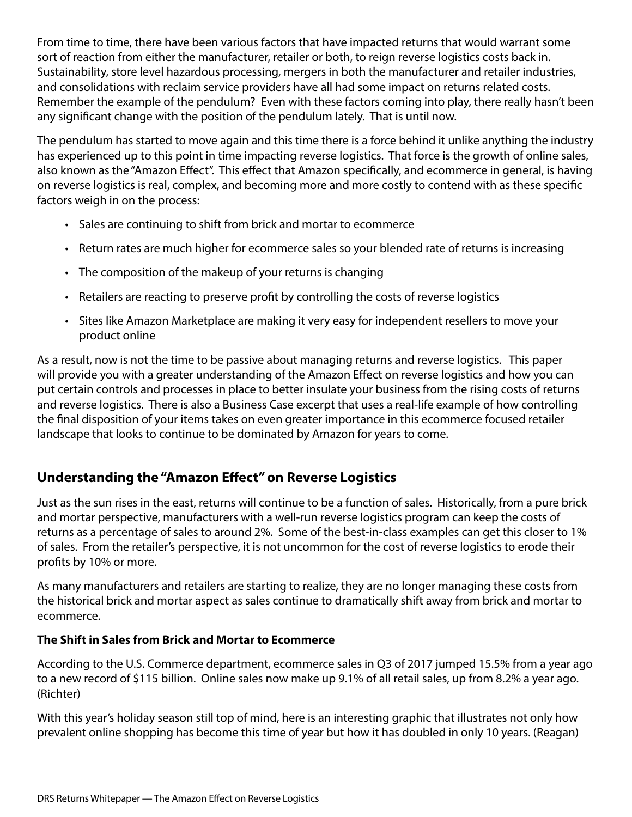From time to time, there have been various factors that have impacted returns that would warrant some sort of reaction from either the manufacturer, retailer or both, to reign reverse logistics costs back in. Sustainability, store level hazardous processing, mergers in both the manufacturer and retailer industries, and consolidations with reclaim service providers have all had some impact on returns related costs. Remember the example of the pendulum? Even with these factors coming into play, there really hasn't been any significant change with the position of the pendulum lately. That is until now.

The pendulum has started to move again and this time there is a force behind it unlike anything the industry has experienced up to this point in time impacting reverse logistics. That force is the growth of online sales, also known as the "Amazon Effect". This effect that Amazon specifically, and ecommerce in general, is having on reverse logistics is real, complex, and becoming more and more costly to contend with as these specific factors weigh in on the process:

- Sales are continuing to shift from brick and mortar to ecommerce
- Return rates are much higher for ecommerce sales so your blended rate of returns is increasing
- The composition of the makeup of your returns is changing
- Retailers are reacting to preserve profit by controlling the costs of reverse logistics
- Sites like Amazon Marketplace are making it very easy for independent resellers to move your product online

As a result, now is not the time to be passive about managing returns and reverse logistics. This paper will provide you with a greater understanding of the Amazon Effect on reverse logistics and how you can put certain controls and processes in place to better insulate your business from the rising costs of returns and reverse logistics. There is also a Business Case excerpt that uses a real-life example of how controlling the final disposition of your items takes on even greater importance in this ecommerce focused retailer landscape that looks to continue to be dominated by Amazon for years to come.

# **Understanding the "Amazon Effect" on Reverse Logistics**

Just as the sun rises in the east, returns will continue to be a function of sales. Historically, from a pure brick and mortar perspective, manufacturers with a well-run reverse logistics program can keep the costs of returns as a percentage of sales to around 2%. Some of the best-in-class examples can get this closer to 1% of sales. From the retailer's perspective, it is not uncommon for the cost of reverse logistics to erode their profits by 10% or more.

As many manufacturers and retailers are starting to realize, they are no longer managing these costs from the historical brick and mortar aspect as sales continue to dramatically shift away from brick and mortar to ecommerce.

### **The Shift in Sales from Brick and Mortar to Ecommerce**

According to the U.S. Commerce department, ecommerce sales in Q3 of 2017 jumped 15.5% from a year ago to a new record of \$115 billion. Online sales now make up 9.1% of all retail sales, up from 8.2% a year ago. (Richter)

With this year's holiday season still top of mind, here is an interesting graphic that illustrates not only how prevalent online shopping has become this time of year but how it has doubled in only 10 years. (Reagan)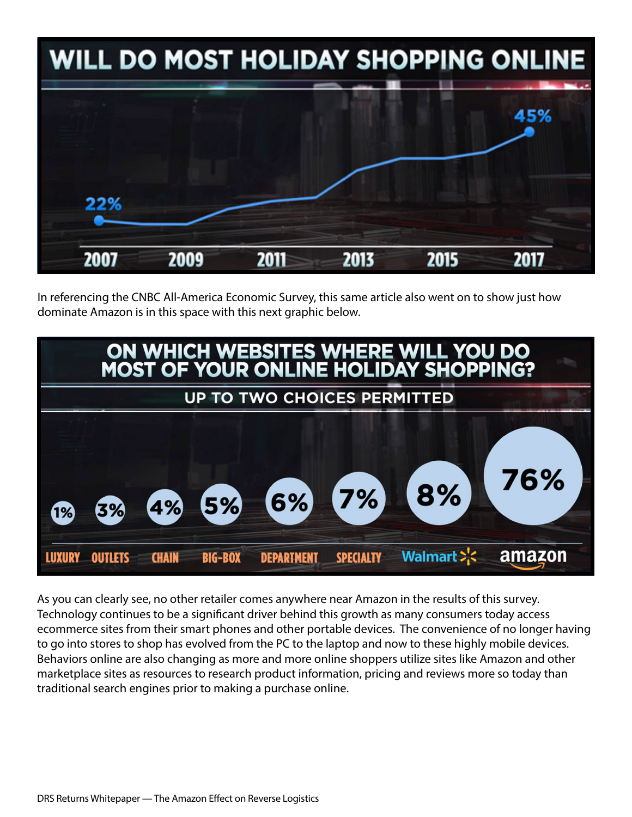

In referencing the CNBC All-America Economic Survey, this same article also went on to show just how dominate Amazon is in this space with this next graphic below.



As you can clearly see, no other retailer comes anywhere near Amazon in the results of this survey. Technology continues to be a significant driver behind this growth as many consumers today access ecommerce sites from their smart phones and other portable devices. The convenience of no longer having to go into stores to shop has evolved from the PC to the laptop and now to these highly mobile devices. Behaviors online are also changing as more and more online shoppers utilize sites like Amazon and other marketplace sites as resources to research product information, pricing and reviews more so today than traditional search engines prior to making a purchase online.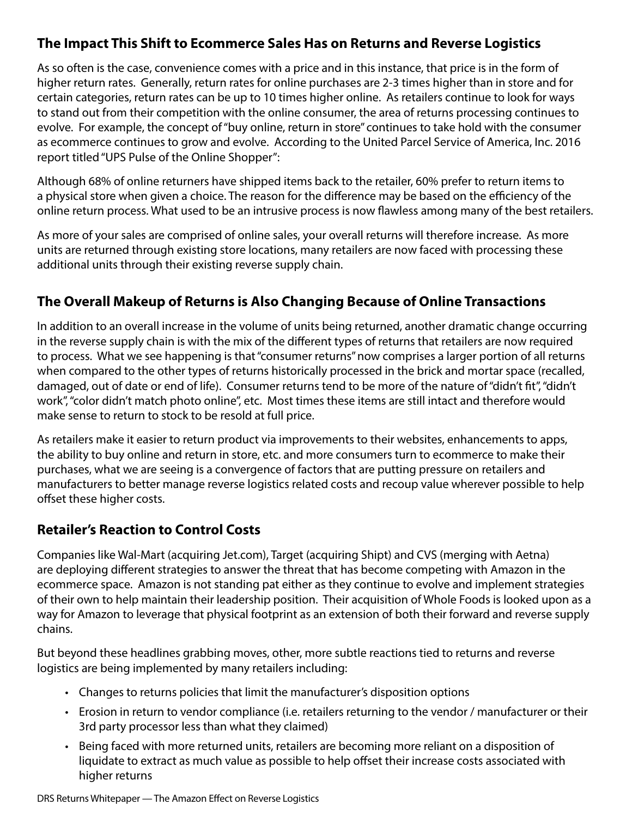# **The Impact This Shift to Ecommerce Sales Has on Returns and Reverse Logistics**

As so often is the case, convenience comes with a price and in this instance, that price is in the form of higher return rates. Generally, return rates for online purchases are 2-3 times higher than in store and for certain categories, return rates can be up to 10 times higher online. As retailers continue to look for ways to stand out from their competition with the online consumer, the area of returns processing continues to evolve. For example, the concept of "buy online, return in store" continues to take hold with the consumer as ecommerce continues to grow and evolve. According to the United Parcel Service of America, Inc. 2016 report titled "UPS Pulse of the Online Shopper":

Although 68% of online returners have shipped items back to the retailer, 60% prefer to return items to a physical store when given a choice. The reason for the difference may be based on the efficiency of the online return process. What used to be an intrusive process is now flawless among many of the best retailers.

As more of your sales are comprised of online sales, your overall returns will therefore increase. As more units are returned through existing store locations, many retailers are now faced with processing these additional units through their existing reverse supply chain.

# **The Overall Makeup of Returns is Also Changing Because of Online Transactions**

In addition to an overall increase in the volume of units being returned, another dramatic change occurring in the reverse supply chain is with the mix of the different types of returns that retailers are now required to process. What we see happening is that "consumer returns" now comprises a larger portion of all returns when compared to the other types of returns historically processed in the brick and mortar space (recalled, damaged, out of date or end of life). Consumer returns tend to be more of the nature of "didn't fit", "didn't work", "color didn't match photo online", etc. Most times these items are still intact and therefore would make sense to return to stock to be resold at full price.

As retailers make it easier to return product via improvements to their websites, enhancements to apps, the ability to buy online and return in store, etc. and more consumers turn to ecommerce to make their purchases, what we are seeing is a convergence of factors that are putting pressure on retailers and manufacturers to better manage reverse logistics related costs and recoup value wherever possible to help offset these higher costs.

### **Retailer's Reaction to Control Costs**

Companies like Wal-Mart (acquiring Jet.com), Target (acquiring Shipt) and CVS (merging with Aetna) are deploying different strategies to answer the threat that has become competing with Amazon in the ecommerce space. Amazon is not standing pat either as they continue to evolve and implement strategies of their own to help maintain their leadership position. Their acquisition of Whole Foods is looked upon as a way for Amazon to leverage that physical footprint as an extension of both their forward and reverse supply chains.

But beyond these headlines grabbing moves, other, more subtle reactions tied to returns and reverse logistics are being implemented by many retailers including:

- Changes to returns policies that limit the manufacturer's disposition options
- Erosion in return to vendor compliance (i.e. retailers returning to the vendor / manufacturer or their 3rd party processor less than what they claimed)
- Being faced with more returned units, retailers are becoming more reliant on a disposition of liquidate to extract as much value as possible to help offset their increase costs associated with higher returns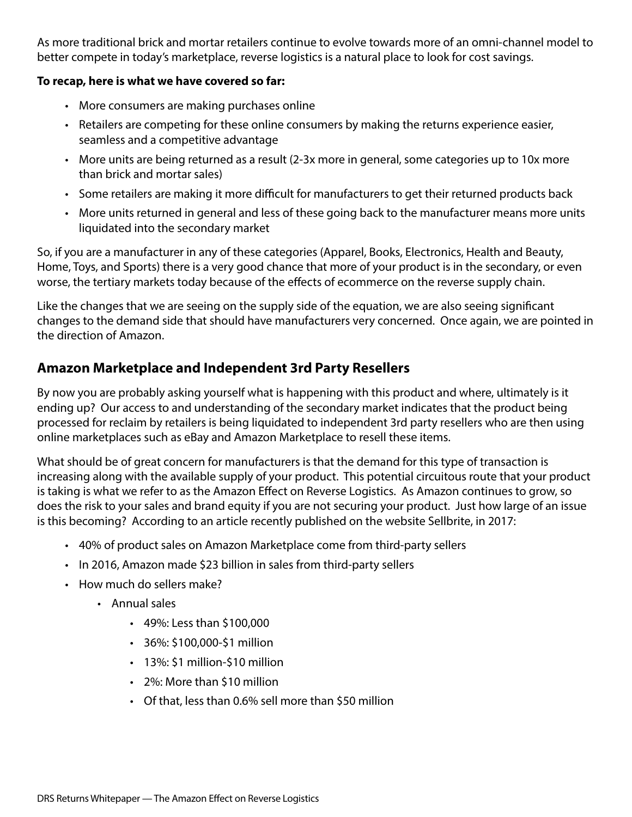As more traditional brick and mortar retailers continue to evolve towards more of an omni-channel model to better compete in today's marketplace, reverse logistics is a natural place to look for cost savings.

#### **To recap, here is what we have covered so far:**

- More consumers are making purchases online
- Retailers are competing for these online consumers by making the returns experience easier, seamless and a competitive advantage
- More units are being returned as a result (2-3x more in general, some categories up to 10x more than brick and mortar sales)
- Some retailers are making it more difficult for manufacturers to get their returned products back
- More units returned in general and less of these going back to the manufacturer means more units liquidated into the secondary market

So, if you are a manufacturer in any of these categories (Apparel, Books, Electronics, Health and Beauty, Home, Toys, and Sports) there is a very good chance that more of your product is in the secondary, or even worse, the tertiary markets today because of the effects of ecommerce on the reverse supply chain.

Like the changes that we are seeing on the supply side of the equation, we are also seeing significant changes to the demand side that should have manufacturers very concerned. Once again, we are pointed in the direction of Amazon.

## **Amazon Marketplace and Independent 3rd Party Resellers**

By now you are probably asking yourself what is happening with this product and where, ultimately is it ending up? Our access to and understanding of the secondary market indicates that the product being processed for reclaim by retailers is being liquidated to independent 3rd party resellers who are then using online marketplaces such as eBay and Amazon Marketplace to resell these items.

What should be of great concern for manufacturers is that the demand for this type of transaction is increasing along with the available supply of your product. This potential circuitous route that your product is taking is what we refer to as the Amazon Effect on Reverse Logistics. As Amazon continues to grow, so does the risk to your sales and brand equity if you are not securing your product. Just how large of an issue is this becoming? According to an article recently published on the website Sellbrite, in 2017:

- 40% of product sales on Amazon Marketplace come from third-party sellers
- In 2016, Amazon made \$23 billion in sales from third-party sellers
- How much do sellers make?
	- Annual sales
		- 49%: Less than \$100,000
		- 36%: \$100,000-\$1 million
		- 13%: \$1 million-\$10 million
		- 2%: More than \$10 million
		- Of that, less than 0.6% sell more than \$50 million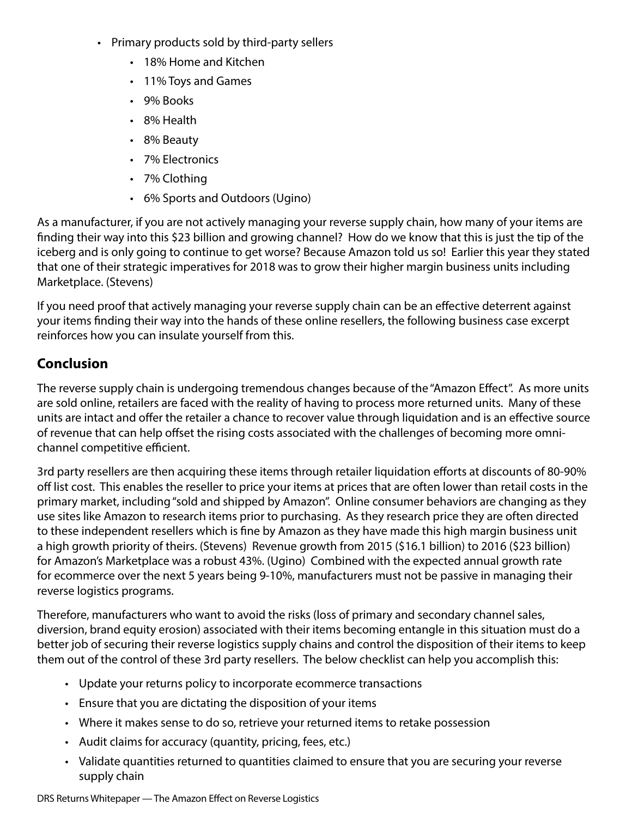- Primary products sold by third-party sellers
	- 18% Home and Kitchen
	- 11% Toys and Games
	- 9% Books
	- 8% Health
	- 8% Beauty
	- 7% Electronics
	- 7% Clothing
	- 6% Sports and Outdoors (Ugino)

As a manufacturer, if you are not actively managing your reverse supply chain, how many of your items are finding their way into this \$23 billion and growing channel? How do we know that this is just the tip of the iceberg and is only going to continue to get worse? Because Amazon told us so! Earlier this year they stated that one of their strategic imperatives for 2018 was to grow their higher margin business units including Marketplace. (Stevens)

If you need proof that actively managing your reverse supply chain can be an effective deterrent against your items finding their way into the hands of these online resellers, the following business case excerpt reinforces how you can insulate yourself from this.

# **Conclusion**

The reverse supply chain is undergoing tremendous changes because of the "Amazon Effect". As more units are sold online, retailers are faced with the reality of having to process more returned units. Many of these units are intact and offer the retailer a chance to recover value through liquidation and is an effective source of revenue that can help offset the rising costs associated with the challenges of becoming more omnichannel competitive efficient.

3rd party resellers are then acquiring these items through retailer liquidation efforts at discounts of 80-90% off list cost. This enables the reseller to price your items at prices that are often lower than retail costs in the primary market, including "sold and shipped by Amazon". Online consumer behaviors are changing as they use sites like Amazon to research items prior to purchasing. As they research price they are often directed to these independent resellers which is fine by Amazon as they have made this high margin business unit a high growth priority of theirs. (Stevens) Revenue growth from 2015 (\$16.1 billion) to 2016 (\$23 billion) for Amazon's Marketplace was a robust 43%. (Ugino) Combined with the expected annual growth rate for ecommerce over the next 5 years being 9-10%, manufacturers must not be passive in managing their reverse logistics programs.

Therefore, manufacturers who want to avoid the risks (loss of primary and secondary channel sales, diversion, brand equity erosion) associated with their items becoming entangle in this situation must do a better job of securing their reverse logistics supply chains and control the disposition of their items to keep them out of the control of these 3rd party resellers. The below checklist can help you accomplish this:

- Update your returns policy to incorporate ecommerce transactions
- Ensure that you are dictating the disposition of your items
- Where it makes sense to do so, retrieve your returned items to retake possession
- Audit claims for accuracy (quantity, pricing, fees, etc.)
- Validate quantities returned to quantities claimed to ensure that you are securing your reverse supply chain